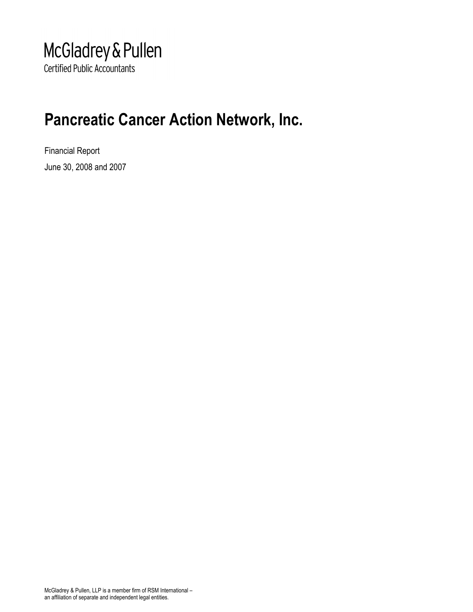## McGladrey & Pullen **Certified Public Accountants**

## Pancreatic Cancer Action Network, Inc.

Financial Report June 30, 2008 and 2007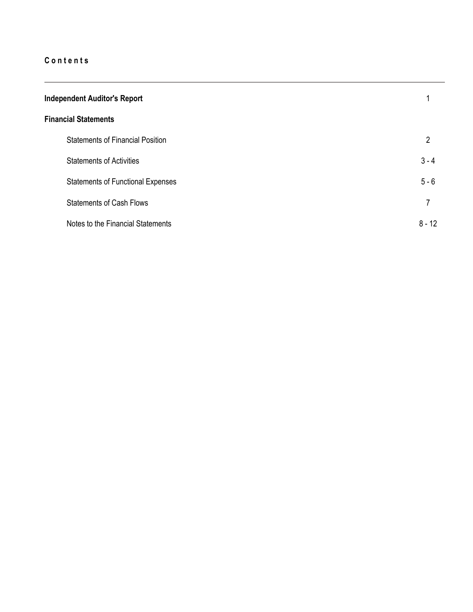| <b>Independent Auditor's Report</b>      |          |  |  |  |  |
|------------------------------------------|----------|--|--|--|--|
| <b>Financial Statements</b>              |          |  |  |  |  |
| <b>Statements of Financial Position</b>  | 2        |  |  |  |  |
| <b>Statements of Activities</b>          | $3 - 4$  |  |  |  |  |
| <b>Statements of Functional Expenses</b> | $5 - 6$  |  |  |  |  |
| <b>Statements of Cash Flows</b>          | 7        |  |  |  |  |
| Notes to the Financial Statements        | $8 - 12$ |  |  |  |  |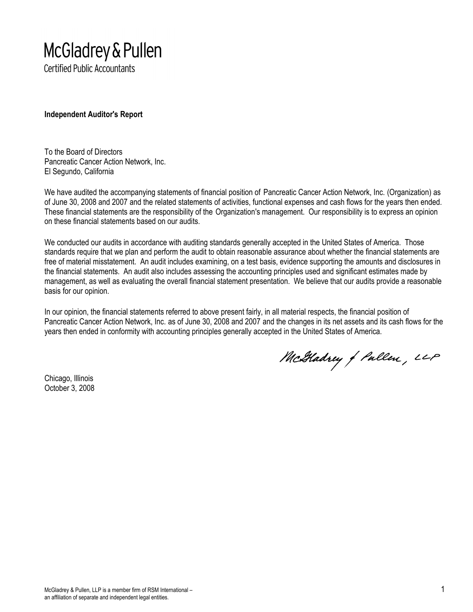# McGladrey & Pullen

**Certified Public Accountants** 

Independent Auditor's Report

To the Board of Directors Pancreatic Cancer Action Network, Inc. El Segundo, California

We have audited the accompanying statements of financial position of Pancreatic Cancer Action Network, Inc. (Organization) as of June 30, 2008 and 2007 and the related statements of activities, functional expenses and cash flows for the years then ended. These financial statements are the responsibility of the Organization's management. Our responsibility is to express an opinion on these financial statements based on our audits.

We conducted our audits in accordance with auditing standards generally accepted in the United States of America. Those standards require that we plan and perform the audit to obtain reasonable assurance about whether the financial statements are free of material misstatement. An audit includes examining, on a test basis, evidence supporting the amounts and disclosures in the financial statements. An audit also includes assessing the accounting principles used and significant estimates made by management, as well as evaluating the overall financial statement presentation. We believe that our audits provide a reasonable basis for our opinion.

In our opinion, the financial statements referred to above present fairly, in all material respects, the financial position of Pancreatic Cancer Action Network, Inc. as of June 30, 2008 and 2007 and the changes in its net assets and its cash flows for the years then ended in conformity with accounting principles generally accepted in the United States of America.

Chicago, Illinois October 3, 2008

McGladrey of Pullen, LLP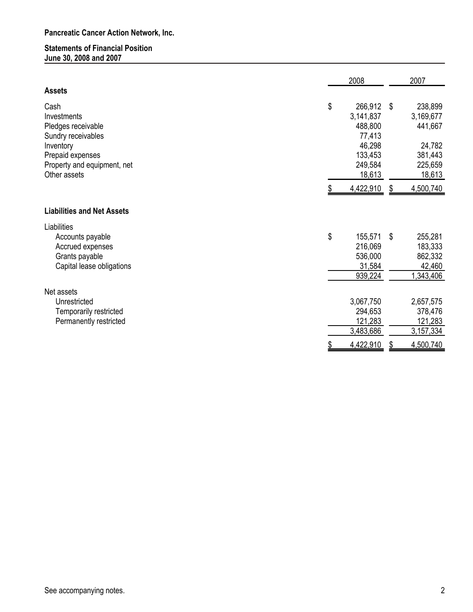## Statements of Financial Position June 30, 2008 and 2007

|                                                                                                    | 2008                                                     |     | 2007                                                 |
|----------------------------------------------------------------------------------------------------|----------------------------------------------------------|-----|------------------------------------------------------|
| <b>Assets</b>                                                                                      |                                                          |     |                                                      |
| Cash<br>Investments<br>Pledges receivable<br>Sundry receivables                                    | \$<br>266,912<br>3,141,837<br>488,800<br>77,413          | -\$ | 238,899<br>3,169,677<br>441,667                      |
| Inventory<br>Prepaid expenses<br>Property and equipment, net<br>Other assets                       | 46,298<br>133,453<br>249,584<br>18,613                   |     | 24,782<br>381,443<br>225,659<br>18,613               |
|                                                                                                    | 4,422,910                                                |     | 4,500,740                                            |
| <b>Liabilities and Net Assets</b>                                                                  |                                                          |     |                                                      |
| Liabilities<br>Accounts payable<br>Accrued expenses<br>Grants payable<br>Capital lease obligations | \$<br>155,571<br>216,069<br>536,000<br>31,584<br>939,224 | \$  | 255,281<br>183,333<br>862,332<br>42,460<br>1,343,406 |
| Net assets                                                                                         |                                                          |     |                                                      |
| Unrestricted<br>Temporarily restricted<br>Permanently restricted                                   | 3,067,750<br>294,653<br>121,283<br>3,483,686             |     | 2,657,575<br>378,476<br>121,283<br>3,157,334         |
|                                                                                                    | 4,422,910                                                |     | 4,500,740                                            |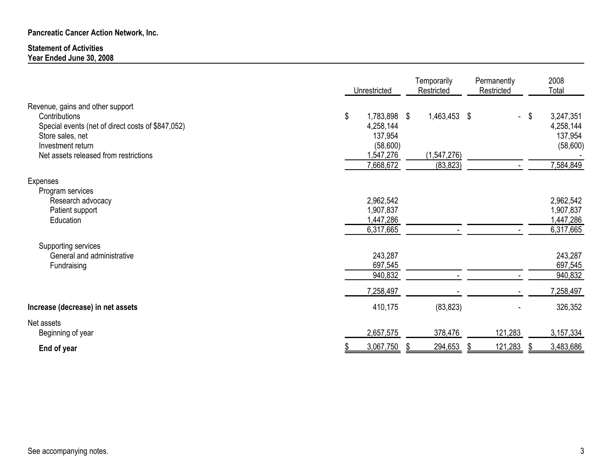#### Statement of ActivitiesYear Ended June 30, 2008

|                                                                                                                                                                                          | Unrestricted                                                                     | Temporarily<br>Restricted                  | Permanently<br>Restricted | 2008<br>Total                                                    |
|------------------------------------------------------------------------------------------------------------------------------------------------------------------------------------------|----------------------------------------------------------------------------------|--------------------------------------------|---------------------------|------------------------------------------------------------------|
| Revenue, gains and other support<br>Contributions<br>Special events (net of direct costs of \$847,052)<br>Store sales, net<br>Investment return<br>Net assets released from restrictions | \$<br>1,783,898 \$<br>4,258,144<br>137,954<br>(58,600)<br>1,547,276<br>7,668,672 | 1,463,453 \$<br>(1, 547, 276)<br>(83, 823) | $\frac{1}{2}$             | 3,247,351<br>\$<br>4,258,144<br>137,954<br>(58,600)<br>7,584,849 |
| Expenses<br>Program services                                                                                                                                                             |                                                                                  |                                            |                           |                                                                  |
| Research advocacy<br>Patient support<br>Education                                                                                                                                        | 2,962,542<br>1,907,837<br>1,447,286<br>6,317,665                                 |                                            |                           | 2,962,542<br>1,907,837<br>1,447,286<br>6,317,665                 |
| Supporting services<br>General and administrative<br>Fundraising                                                                                                                         | 243,287<br>697,545<br>940,832                                                    |                                            |                           | 243,287<br>697,545<br>940,832                                    |
|                                                                                                                                                                                          | 7,258,497                                                                        |                                            |                           | 7,258,497                                                        |
| Increase (decrease) in net assets                                                                                                                                                        | 410,175                                                                          | (83, 823)                                  |                           | 326,352                                                          |
| Net assets<br>Beginning of year                                                                                                                                                          | 2,657,575                                                                        | 378,476                                    | 121,283                   | 3,157,334                                                        |
| End of year                                                                                                                                                                              | 3,067,750                                                                        | 294,653                                    | 121,283                   | 3,483,686                                                        |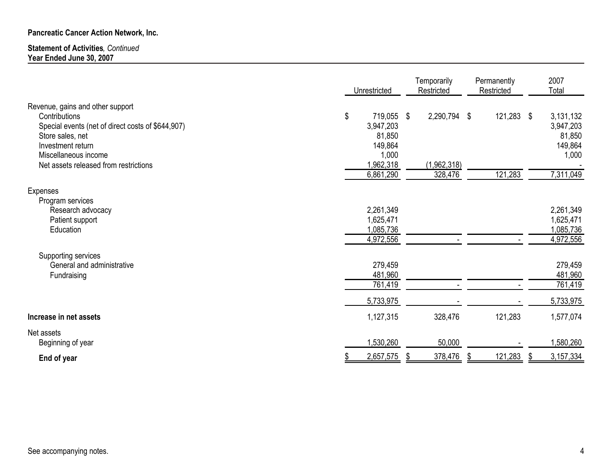#### Statement of Activities, Continued Year Ended June 30, 2007

|                                                                                                                                                                                                                  | Unrestricted                                                                       | Temporarily<br>Restricted                    |    | Permanently<br>Restricted | 2007<br>Total                                                     |
|------------------------------------------------------------------------------------------------------------------------------------------------------------------------------------------------------------------|------------------------------------------------------------------------------------|----------------------------------------------|----|---------------------------|-------------------------------------------------------------------|
| Revenue, gains and other support<br>Contributions<br>Special events (net of direct costs of \$644,907)<br>Store sales, net<br>Investment return<br>Miscellaneous income<br>Net assets released from restrictions | \$<br>719,055<br>3,947,203<br>81,850<br>149,864<br>1,000<br>1,962,318<br>6,861,290 | \$<br>2,290,794 \$<br>(1,962,318)<br>328,476 |    | 121,283 \$<br>121,283     | 3,131,132<br>3,947,203<br>81,850<br>149,864<br>1,000<br>7,311,049 |
| Expenses                                                                                                                                                                                                         |                                                                                    |                                              |    |                           |                                                                   |
| Program services<br>Research advocacy<br>Patient support<br>Education                                                                                                                                            | 2,261,349<br>1,625,471<br>1,085,736<br>4,972,556                                   |                                              |    |                           | 2,261,349<br>1,625,471<br>1,085,736<br>4,972,556                  |
| Supporting services<br>General and administrative<br>Fundraising                                                                                                                                                 | 279,459<br>481,960<br>761,419                                                      |                                              |    |                           | 279,459<br>481,960<br>761,419                                     |
| Increase in net assets                                                                                                                                                                                           | 5,733,975<br>1,127,315                                                             | 328,476                                      |    | 121,283                   | 5,733,975<br>1,577,074                                            |
| Net assets<br>Beginning of year                                                                                                                                                                                  | 1,530,260                                                                          | 50,000                                       |    |                           | 1,580,260                                                         |
| End of year                                                                                                                                                                                                      | 2,657,575                                                                          | 378,476                                      | -9 | 121,283                   | 3,157,334                                                         |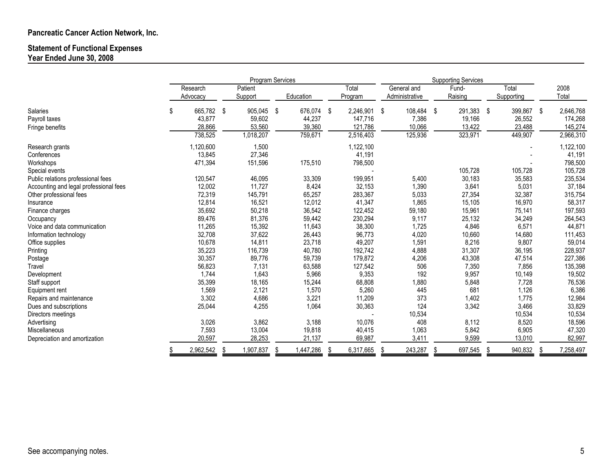## Statement of Functional Expenses Year Ended June 30, 2008

|                                        |                      |      | Program Services    |                   |    |                      |    | <b>Supporting Services</b>    |     |                   |      |                     |      |                      |
|----------------------------------------|----------------------|------|---------------------|-------------------|----|----------------------|----|-------------------------------|-----|-------------------|------|---------------------|------|----------------------|
|                                        | Research<br>Advocacy |      | Patient<br>Support  | Education         |    | Total<br>Program     |    | General and<br>Administrative |     | Fund-<br>Raising  |      | Total<br>Supporting |      | 2008<br>Total        |
| <b>Salaries</b>                        | \$<br>665,782        | - \$ | 905,045             | \$<br>676,074     | \$ | 2,246,901            | \$ | 108,484                       | -\$ | 291,383           | - \$ | 399,867             | - \$ | 2,646,768            |
| Payroll taxes                          | 43,877               |      | 59,602              | 44,237            |    | 147,716              |    | 7,386                         |     | 19,166            |      | 26,552              |      | 174,268              |
| Fringe benefits                        | 28,866<br>738,525    |      | 53,560<br>1,018,207 | 39,360<br>759,671 |    | 121,786<br>2,516,403 |    | 10,066<br>125,936             |     | 13,422<br>323,971 |      | 23,488<br>449,907   |      | 145,274<br>2,966,310 |
| Research grants                        | 1,120,600            |      | 1,500               |                   |    | 1,122,100            |    |                               |     |                   |      |                     |      | 1,122,100            |
| Conferences                            | 13,845               |      | 27,346              |                   |    | 41,191               |    |                               |     |                   |      |                     |      | 41,191               |
| Workshops                              | 471,394              |      | 151,596             | 175,510           |    | 798,500              |    |                               |     |                   |      |                     |      | 798,500              |
| Special events                         |                      |      |                     |                   |    |                      |    |                               |     | 105,728           |      | 105,728             |      | 105,728              |
| Public relations professional fees     | 120,547              |      | 46,095              | 33,309            |    | 199,951              |    | 5,400                         |     | 30,183            |      | 35,583              |      | 235,534              |
| Accounting and legal professional fees | 12,002               |      | 11,727              | 8,424             |    | 32,153               |    | 1,390                         |     | 3,641             |      | 5,031               |      | 37,184               |
| Other professional fees                | 72,319               |      | 145,791             | 65,257            |    | 283,367              |    | 5,033                         |     | 27,354            |      | 32,387              |      | 315,754              |
| Insurance                              | 12,814               |      | 16,521              | 12,012            |    | 41,347               |    | 1,865                         |     | 15,105            |      | 16,970              |      | 58,317               |
| Finance charges                        | 35,692               |      | 50,218              | 36,542            |    | 122,452              |    | 59,180                        |     | 15,961            |      | 75,141              |      | 197,593              |
| Occupancy                              | 89,476               |      | 81,376              | 59,442            |    | 230,294              |    | 9,117                         |     | 25,132            |      | 34,249              |      | 264,543              |
| Voice and data communication           | 11,265               |      | 15,392              | 11,643            |    | 38,300               |    | 1,725                         |     | 4,846             |      | 6,571               |      | 44,871               |
| Information technology                 | 32,708               |      | 37,622              | 26,443            |    | 96,773               |    | 4,020                         |     | 10,660            |      | 14,680              |      | 111,453              |
| Office supplies                        | 10,678               |      | 14,811              | 23,718            |    | 49,207               |    | 1,591                         |     | 8,216             |      | 9,807               |      | 59,014               |
| Printing                               | 35,223               |      | 116,739             | 40,780            |    | 192,742              |    | 4,888                         |     | 31,307            |      | 36,195              |      | 228,937              |
| Postage                                | 30,357               |      | 89,776              | 59,739            |    | 179,872              |    | 4,206                         |     | 43,308            |      | 47,514              |      | 227,386              |
| Travel                                 | 56,823               |      | 7,131               | 63,588            |    | 127,542              |    | 506                           |     | 7,350             |      | 7,856               |      | 135,398              |
| Development                            | 1,744                |      | 1,643               | 5,966             |    | 9,353                |    | 192                           |     | 9,957             |      | 10,149              |      | 19,502               |
| Staff support                          | 35,399               |      | 18,165              | 15,244            |    | 68,808               |    | 1,880                         |     | 5,848             |      | 7,728               |      | 76,536               |
| Equipment rent                         | 1,569                |      | 2,121               | 1,570             |    | 5,260                |    | 445                           |     | 681               |      | 1,126               |      | 6,386                |
| Repairs and maintenance                | 3,302                |      | 4,686               | 3,221             |    | 11,209               |    | 373                           |     | 1,402             |      | 1,775               |      | 12,984               |
| Dues and subscriptions                 | 25,044               |      | 4,255               | 1,064             |    | 30,363               |    | 124                           |     | 3,342             |      | 3,466               |      | 33,829               |
| Directors meetings                     |                      |      |                     |                   |    |                      |    | 10,534                        |     |                   |      | 10,534              |      | 10,534               |
| Advertising                            | 3,026                |      | 3,862               | 3,188             |    | 10,076               |    | 408                           |     | 8,112             |      | 8,520               |      | 18,596               |
| Miscellaneous                          | 7,593                |      | 13,004              | 19,818            |    | 40,415               |    | 1,063                         |     | 5,842             |      | 6,905               |      | 47,320               |
| Depreciation and amortization          | 20,597               |      | 28,253              | 21,137            |    | 69,987               |    | 3,411                         |     | 9,599             |      | 13,010              |      | 82,997               |
|                                        | 2,962,542            |      | 1,907,837           | 1,447,286         |    | 6,317,665            |    | 243,287                       |     | 697,545           |      | 940,832             |      | 7,258,497            |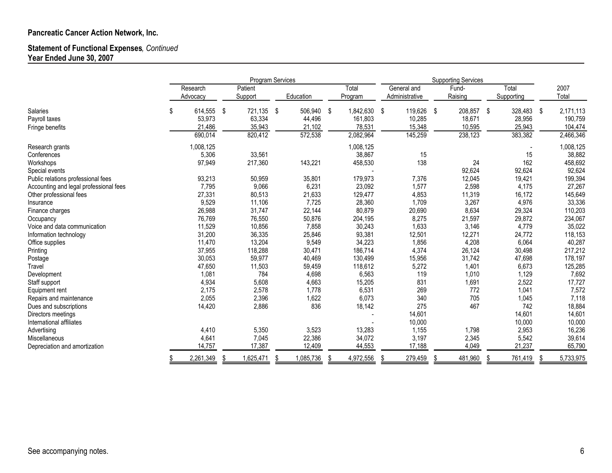## Statement of Functional Expenses, Continued Year Ended June 30, 2007

|                                        |                         | Program Services   |                         |     |                   | <b>Supporting Services</b> |                               |    |                  |     |                     |     |                    |
|----------------------------------------|-------------------------|--------------------|-------------------------|-----|-------------------|----------------------------|-------------------------------|----|------------------|-----|---------------------|-----|--------------------|
|                                        | Research<br>Advocacy    | Patient<br>Support | Education               |     | Total<br>Program  |                            | General and<br>Administrative |    | Fund-<br>Raising |     | Total<br>Supporting |     | 2007<br>Total      |
| <b>Salaries</b>                        | \$<br>614,555<br>53,973 | \$<br>721,135      | \$<br>506,940<br>44,496 | -\$ | 1,842,630         | \$                         | 119,626                       | \$ | 208,857          | -\$ | 328,483             | -\$ | 2,171,113          |
| Payroll taxes<br>Fringe benefits       | 21,486                  | 63,334<br>35,943   | 21,102                  |     | 161,803<br>78,531 |                            | 10,285<br>15,348              |    | 18,671<br>10,595 |     | 28,956<br>25,943    |     | 190,759<br>104,474 |
|                                        | 690,014                 | 820,412            | 572,538                 |     | 2,082,964         |                            | 145,259                       |    | 238,123          |     | 383,382             |     | 2,466,346          |
| Research grants                        | 1,008,125               |                    |                         |     | 1,008,125         |                            |                               |    |                  |     |                     |     | 1,008,125          |
| Conferences                            | 5,306                   | 33,561             |                         |     | 38,867            |                            | 15                            |    |                  |     | 15                  |     | 38,882             |
| Workshops                              | 97,949                  | 217,360            | 143,221                 |     | 458,530           |                            | 138                           |    | 24               |     | 162                 |     | 458,692            |
| Special events                         |                         |                    |                         |     |                   |                            |                               |    | 92,624           |     | 92,624              |     | 92,624             |
| Public relations professional fees     | 93,213                  | 50,959             | 35,801                  |     | 179,973           |                            | 7,376                         |    | 12,045           |     | 19,421              |     | 199,394            |
| Accounting and legal professional fees | 7,795                   | 9,066              | 6,231                   |     | 23,092            |                            | 1,577                         |    | 2,598            |     | 4,175               |     | 27,267             |
| Other professional fees                | 27,331                  | 80,513             | 21,633                  |     | 129,477           |                            | 4,853                         |    | 11,319           |     | 16,172              |     | 145,649            |
| Insurance                              | 9,529                   | 11,106             | 7,725                   |     | 28,360            |                            | 1,709                         |    | 3,267            |     | 4,976               |     | 33,336             |
| Finance charges                        | 26,988                  | 31,747             | 22,144                  |     | 80,879            |                            | 20,690                        |    | 8,634            |     | 29,324              |     | 110,203            |
| Occupancy                              | 76,769                  | 76,550             | 50,876                  |     | 204,195           |                            | 8,275                         |    | 21,597           |     | 29,872              |     | 234,067            |
| Voice and data communication           | 11,529                  | 10,856             | 7,858                   |     | 30,243            |                            | 1,633                         |    | 3,146            |     | 4,779               |     | 35,022             |
| Information technology                 | 31,200                  | 36,335             | 25,846                  |     | 93,381            |                            | 12,501                        |    | 12,271           |     | 24,772              |     | 118,153            |
| Office supplies                        | 11,470                  | 13,204             | 9,549                   |     | 34,223            |                            | 1,856                         |    | 4,208            |     | 6,064               |     | 40,287             |
| Printing                               | 37,955                  | 118,288            | 30,471                  |     | 186,714           |                            | 4,374                         |    | 26,124           |     | 30,498              |     | 217,212            |
| Postage                                | 30,053                  | 59,977             | 40,469                  |     | 130,499           |                            | 15,956                        |    | 31,742           |     | 47,698              |     | 178,197            |
| Travel                                 | 47,650                  | 11,503             | 59,459                  |     | 118,612           |                            | 5,272                         |    | 1,401            |     | 6,673               |     | 125,285            |
| Development                            | 1,081                   | 784                | 4,698                   |     | 6,563             |                            | 119                           |    | 1,010            |     | 1,129               |     | 7,692              |
| Staff support                          | 4,934                   | 5,608              | 4,663                   |     | 15,205            |                            | 831                           |    | 1,691            |     | 2,522               |     | 17,727             |
| Equipment rent                         | 2,175                   | 2,578              | 1,778                   |     | 6,531             |                            | 269                           |    | 772              |     | 1,041               |     | 7,572              |
| Repairs and maintenance                | 2,055                   | 2,396              | 1,622                   |     | 6,073             |                            | 340                           |    | 705              |     | 1,045               |     | 7,118              |
| Dues and subscriptions                 | 14,420                  | 2,886              | 836                     |     | 18,142            |                            | 275                           |    | 467              |     | 742                 |     | 18,884             |
| Directors meetings                     |                         |                    |                         |     |                   |                            | 14,601                        |    |                  |     | 14,601              |     | 14,601             |
| International affiliates               |                         |                    |                         |     |                   |                            | 10,000                        |    |                  |     | 10,000              |     | 10,000             |
| Advertising                            | 4,410                   | 5,350              | 3,523                   |     | 13,283            |                            | 1,155                         |    | 1,798            |     | 2,953               |     | 16,236             |
| Miscellaneous                          | 4,641                   | 7,045              | 22,386                  |     | 34,072            |                            | 3,197                         |    | 2,345            |     | 5,542               |     | 39,614             |
| Depreciation and amortization          | 14,757                  | 17,387             | 12,409                  |     | 44,553            |                            | 17,188                        |    | 4,049            |     | 21,237              |     | 65,790             |
|                                        | 2,261,349               | 1,625,471          | 1,085,736               |     | 4,972,556         |                            | 279,459                       |    | 481,960          |     | 761,419             |     | 5,733,975          |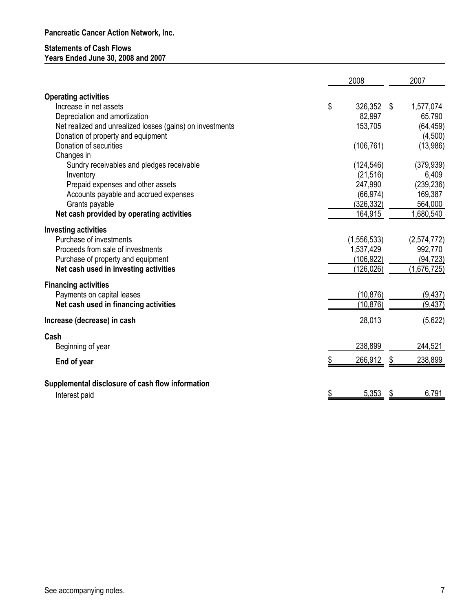## Statements of Cash Flows

Years Ended June 30, 2008 and 2007

|                                                           | 2008          |      | 2007        |
|-----------------------------------------------------------|---------------|------|-------------|
| <b>Operating activities</b>                               |               |      |             |
| Increase in net assets                                    | \$<br>326,352 | - \$ | 1,577,074   |
| Depreciation and amortization                             | 82,997        |      | 65,790      |
| Net realized and unrealized losses (gains) on investments | 153,705       |      | (64, 459)   |
| Donation of property and equipment                        |               |      | (4,500)     |
| Donation of securities                                    | (106, 761)    |      | (13,986)    |
| Changes in                                                |               |      |             |
| Sundry receivables and pledges receivable                 | (124, 546)    |      | (379, 939)  |
| Inventory                                                 | (21, 516)     |      | 6,409       |
| Prepaid expenses and other assets                         | 247,990       |      | (239, 236)  |
| Accounts payable and accrued expenses                     | (66, 974)     |      | 169,387     |
| Grants payable                                            | (326, 332)    |      | 564,000     |
| Net cash provided by operating activities                 | 164,915       |      | 1,680,540   |
| <b>Investing activities</b>                               |               |      |             |
| Purchase of investments                                   | (1, 556, 533) |      | (2,574,772) |
| Proceeds from sale of investments                         | 1,537,429     |      | 992,770     |
| Purchase of property and equipment                        | (106,922)     |      | (94, 723)   |
| Net cash used in investing activities                     | (126, 026)    |      | (1,676,725) |
| <b>Financing activities</b>                               |               |      |             |
| Payments on capital leases                                | (10, 876)     |      | (9, 437)    |
| Net cash used in financing activities                     | (10, 876)     |      | (9, 437)    |
| Increase (decrease) in cash                               | 28,013        |      | (5,622)     |
| Cash                                                      |               |      |             |
| Beginning of year                                         | 238,899       |      | 244,521     |
| End of year                                               | 266,912       | \$   | 238,899     |
| Supplemental disclosure of cash flow information          |               |      |             |
| Interest paid                                             | 5,353         | \$   | 6,791       |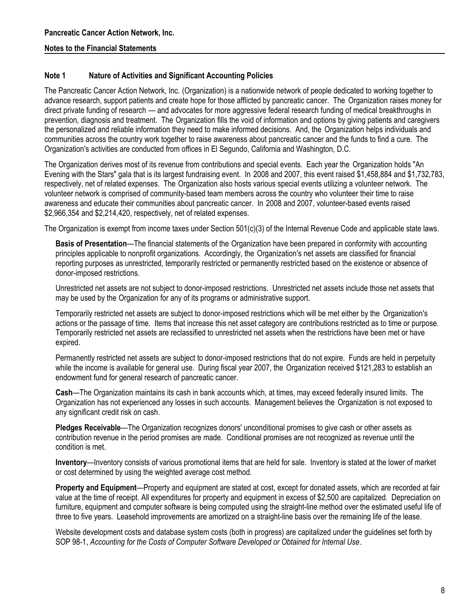## Note 1 Nature of Activities and Significant Accounting Policies

The Pancreatic Cancer Action Network, Inc. (Organization) is a nationwide network of people dedicated to working together to advance research, support patients and create hope for those afflicted by pancreatic cancer. The Organization raises money for direct private funding of research — and advocates for more aggressive federal research funding of medical breakthroughs in prevention, diagnosis and treatment. The Organization fills the void of information and options by giving patients and caregivers the personalized and reliable information they need to make informed decisions. And, the Organization helps individuals and communities across the country work together to raise awareness about pancreatic cancer and the funds to find a cure. The Organization's activities are conducted from offices in El Segundo, California and Washington, D.C.

The Organization derives most of its revenue from contributions and special events. Each year the Organization holds "An Evening with the Stars" gala that is its largest fundraising event. In 2008 and 2007, this event raised \$1,458,884 and \$1,732,783, respectively, net of related expenses. The Organization also hosts various special events utilizing a volunteer network. The volunteer network is comprised of community-based team members across the country who volunteer their time to raise awareness and educate their communities about pancreatic cancer. In 2008 and 2007, volunteer-based events raised \$2,966,354 and \$2,214,420, respectively, net of related expenses.

The Organization is exempt from income taxes under Section 501(c)(3) of the Internal Revenue Code and applicable state laws.

Basis of Presentation—The financial statements of the Organization have been prepared in conformity with accounting principles applicable to nonprofit organizations. Accordingly, the Organization's net assets are classified for financial reporting purposes as unrestricted, temporarily restricted or permanently restricted based on the existence or absence of donor-imposed restrictions.

Unrestricted net assets are not subject to donor-imposed restrictions. Unrestricted net assets include those net assets that may be used by the Organization for any of its programs or administrative support.

Temporarily restricted net assets are subject to donor-imposed restrictions which will be met either by the Organization's actions or the passage of time. Items that increase this net asset category are contributions restricted as to time or purpose. Temporarily restricted net assets are reclassified to unrestricted net assets when the restrictions have been met or have expired.

Permanently restricted net assets are subject to donor-imposed restrictions that do not expire. Funds are held in perpetuity while the income is available for general use. During fiscal year 2007, the Organization received \$121,283 to establish an endowment fund for general research of pancreatic cancer.

Cash—The Organization maintains its cash in bank accounts which, at times, may exceed federally insured limits. The Organization has not experienced any losses in such accounts. Management believes the Organization is not exposed to any significant credit risk on cash.

Pledges Receivable—The Organization recognizes donors' unconditional promises to give cash or other assets as contribution revenue in the period promises are made. Conditional promises are not recognized as revenue until the condition is met.

Inventory—Inventory consists of various promotional items that are held for sale. Inventory is stated at the lower of market or cost determined by using the weighted average cost method.

Property and Equipment—Property and equipment are stated at cost, except for donated assets, which are recorded at fair value at the time of receipt. All expenditures for property and equipment in excess of \$2,500 are capitalized. Depreciation on furniture, equipment and computer software is being computed using the straight-line method over the estimated useful life of three to five years. Leasehold improvements are amortized on a straight-line basis over the remaining life of the lease.

Website development costs and database system costs (both in progress) are capitalized under the guidelines set forth by SOP 98-1, Accounting for the Costs of Computer Software Developed or Obtained for Internal Use.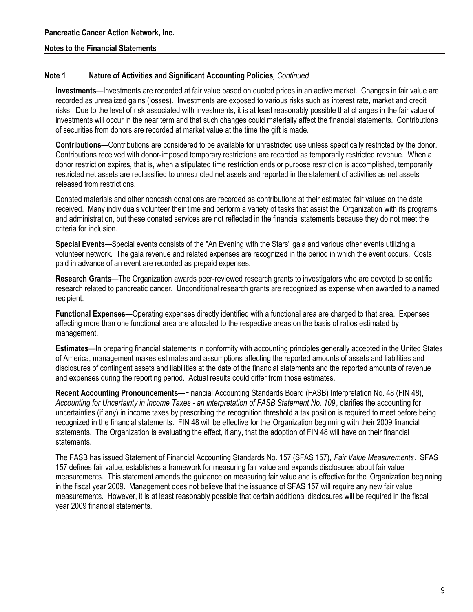#### Note 1 Nature of Activities and Significant Accounting Policies, Continued

Investments—Investments are recorded at fair value based on quoted prices in an active market. Changes in fair value are recorded as unrealized gains (losses). Investments are exposed to various risks such as interest rate, market and credit risks. Due to the level of risk associated with investments, it is at least reasonably possible that changes in the fair value of investments will occur in the near term and that such changes could materially affect the financial statements. Contributions of securities from donors are recorded at market value at the time the gift is made.

Contributions—Contributions are considered to be available for unrestricted use unless specifically restricted by the donor. Contributions received with donor-imposed temporary restrictions are recorded as temporarily restricted revenue. When a donor restriction expires, that is, when a stipulated time restriction ends or purpose restriction is accomplished, temporarily restricted net assets are reclassified to unrestricted net assets and reported in the statement of activities as net assets released from restrictions.

Donated materials and other noncash donations are recorded as contributions at their estimated fair values on the date received. Many individuals volunteer their time and perform a variety of tasks that assist the Organization with its programs and administration, but these donated services are not reflected in the financial statements because they do not meet the criteria for inclusion.

Special Events—Special events consists of the "An Evening with the Stars" gala and various other events utilizing a volunteer network. The gala revenue and related expenses are recognized in the period in which the event occurs. Costs paid in advance of an event are recorded as prepaid expenses.

Research Grants—The Organization awards peer-reviewed research grants to investigators who are devoted to scientific research related to pancreatic cancer. Unconditional research grants are recognized as expense when awarded to a named recipient.

Functional Expenses—Operating expenses directly identified with a functional area are charged to that area. Expenses affecting more than one functional area are allocated to the respective areas on the basis of ratios estimated by management.

Estimates—In preparing financial statements in conformity with accounting principles generally accepted in the United States of America, management makes estimates and assumptions affecting the reported amounts of assets and liabilities and disclosures of contingent assets and liabilities at the date of the financial statements and the reported amounts of revenue and expenses during the reporting period. Actual results could differ from those estimates.

Recent Accounting Pronouncements—Financial Accounting Standards Board (FASB) Interpretation No. 48 (FIN 48), Accounting for Uncertainty in Income Taxes - an interpretation of FASB Statement No. 109, clarifies the accounting for uncertainties (if any) in income taxes by prescribing the recognition threshold a tax position is required to meet before being recognized in the financial statements. FIN 48 will be effective for the Organization beginning with their 2009 financial statements. The Organization is evaluating the effect, if any, that the adoption of FIN 48 will have on their financial statements.

The FASB has issued Statement of Financial Accounting Standards No. 157 (SFAS 157), Fair Value Measurements. SFAS 157 defines fair value, establishes a framework for measuring fair value and expands disclosures about fair value measurements. This statement amends the guidance on measuring fair value and is effective for the Organization beginning in the fiscal year 2009. Management does not believe that the issuance of SFAS 157 will require any new fair value measurements. However, it is at least reasonably possible that certain additional disclosures will be required in the fiscal year 2009 financial statements.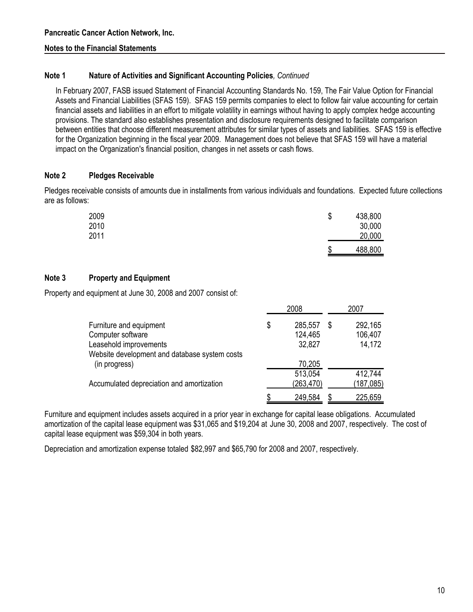#### Note 1 Nature of Activities and Significant Accounting Policies, Continued

In February 2007, FASB issued Statement of Financial Accounting Standards No. 159, The Fair Value Option for Financial Assets and Financial Liabilities (SFAS 159). SFAS 159 permits companies to elect to follow fair value accounting for certain financial assets and liabilities in an effort to mitigate volatility in earnings without having to apply complex hedge accounting provisions. The standard also establishes presentation and disclosure requirements designed to facilitate comparison between entities that choose different measurement attributes for similar types of assets and liabilities. SFAS 159 is effective for the Organization beginning in the fiscal year 2009. Management does not believe that SFAS 159 will have a material impact on the Organization's financial position, changes in net assets or cash flows.

#### Note 2 Pledges Receivable

Pledges receivable consists of amounts due in installments from various individuals and foundations. Expected future collections are as follows:

| 2009 | \$ | 438,800 |
|------|----|---------|
| 2010 |    | 30,000  |
| 2011 |    | 20,000  |
|      | S  | 488,800 |

#### Note 3 Property and Equipment

Property and equipment at June 30, 2008 and 2007 consist of:

|                                                                                                                         | 2008 |                              |   | 2007                         |
|-------------------------------------------------------------------------------------------------------------------------|------|------------------------------|---|------------------------------|
| Furniture and equipment<br>Computer software<br>Leasehold improvements<br>Website development and database system costs | \$   | 285,557<br>124,465<br>32,827 | S | 292,165<br>106,407<br>14,172 |
| (in progress)                                                                                                           |      | 70,205<br>513,054            |   | 412,744                      |
| Accumulated depreciation and amortization                                                                               |      | (263, 470)                   |   | (187, 085)                   |
|                                                                                                                         |      | 249,584                      |   | 225,659                      |

Furniture and equipment includes assets acquired in a prior year in exchange for capital lease obligations. Accumulated amortization of the capital lease equipment was \$31,065 and \$19,204 at June 30, 2008 and 2007, respectively. The cost of capital lease equipment was \$59,304 in both years.

Depreciation and amortization expense totaled \$82,997 and \$65,790 for 2008 and 2007, respectively.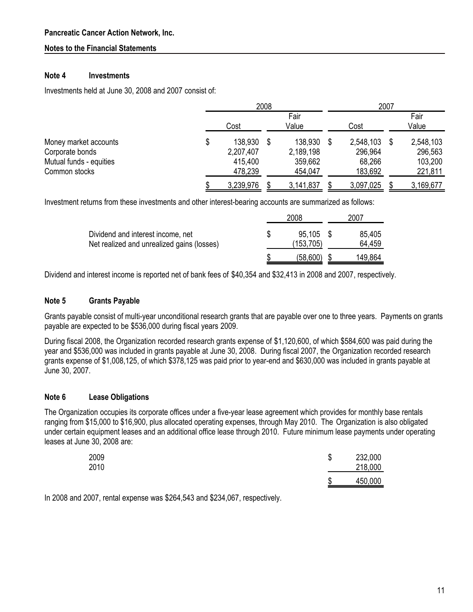#### Note 4 Investments

Investments held at June 30, 2008 and 2007 consist of:

|                                                                                      | 2008                                             |  |                                            | 2007 |                                           |  |                                            |
|--------------------------------------------------------------------------------------|--------------------------------------------------|--|--------------------------------------------|------|-------------------------------------------|--|--------------------------------------------|
|                                                                                      | Cost                                             |  | Fair<br>Value                              |      | Cost                                      |  | Fair<br>Value                              |
| Money market accounts<br>Corporate bonds<br>Mutual funds - equities<br>Common stocks | \$<br>138,930<br>2,207,407<br>415,400<br>478,239 |  | 138,930<br>2,189,198<br>359,662<br>454,047 |      | 2,548,103<br>296,964<br>68,266<br>183,692 |  | 2,548,103<br>296,563<br>103,200<br>221,811 |
|                                                                                      | 3,239,976                                        |  | 3,141,837                                  |      | 3,097,025                                 |  | 3,169,677                                  |

Investment returns from these investments and other interest-bearing accounts are summarized as follows:

|                                                                                 | 2008                | 2007             |
|---------------------------------------------------------------------------------|---------------------|------------------|
| Dividend and interest income, net<br>Net realized and unrealized gains (losses) | 95.105<br>(153,705) | 85,405<br>64.459 |
|                                                                                 | (58,600)            | 149,864          |

Dividend and interest income is reported net of bank fees of \$40,354 and \$32,413 in 2008 and 2007, respectively.

#### Note 5 Grants Payable

Grants payable consist of multi-year unconditional research grants that are payable over one to three years. Payments on grants payable are expected to be \$536,000 during fiscal years 2009.

During fiscal 2008, the Organization recorded research grants expense of \$1,120,600, of which \$584,600 was paid during the year and \$536,000 was included in grants payable at June 30, 2008. During fiscal 2007, the Organization recorded research grants expense of \$1,008,125, of which \$378,125 was paid prior to year-end and \$630,000 was included in grants payable at June 30, 2007.

#### Note 6 Lease Obligations

The Organization occupies its corporate offices under a five-year lease agreement which provides for monthly base rentals ranging from \$15,000 to \$16,900, plus allocated operating expenses, through May 2010. The Organization is also obligated under certain equipment leases and an additional office lease through 2010. Future minimum lease payments under operating leases at June 30, 2008 are:

| 2009<br>2010 | J | 232,000<br>218,000 |
|--------------|---|--------------------|
|              | æ | 450,000            |

In 2008 and 2007, rental expense was \$264,543 and \$234,067, respectively.